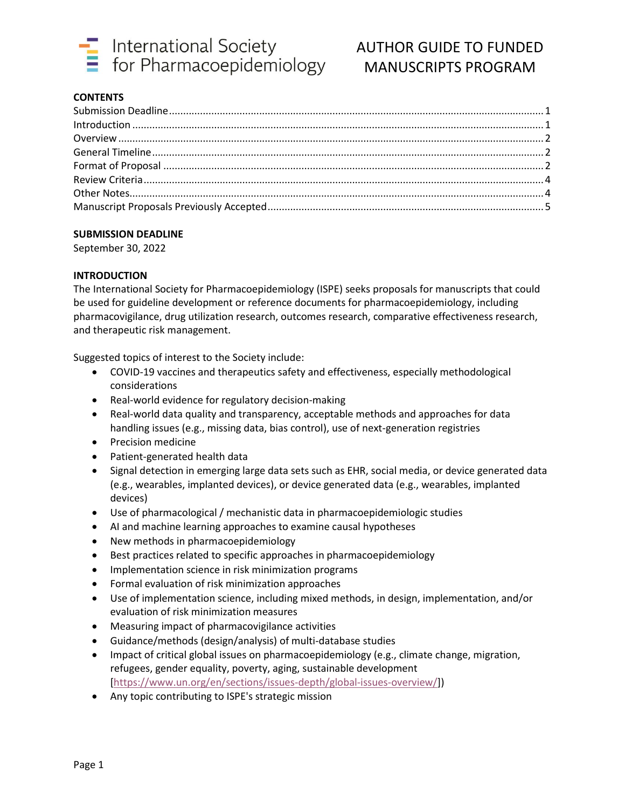

# AUTHOR GUIDE TO FUNDED MANUSCRIPTS PROGRAM

# **CONTENTS**

### <span id="page-0-0"></span>**SUBMISSION DEADLINE**

September 30, 2022

## <span id="page-0-1"></span>**INTRODUCTION**

The International Society for Pharmacoepidemiology (ISPE) seeks proposals for manuscripts that could be used for guideline development or reference documents for pharmacoepidemiology, including pharmacovigilance, drug utilization research, outcomes research, comparative effectiveness research, and therapeutic risk management.

Suggested topics of interest to the Society include:

- COVID-19 vaccines and therapeutics safety and effectiveness, especially methodological considerations
- Real-world evidence for regulatory decision-making
- Real-world data quality and transparency, acceptable methods and approaches for data handling issues (e.g., missing data, bias control), use of next-generation registries
- Precision medicine
- Patient-generated health data
- Signal detection in emerging large data sets such as EHR, social media, or device generated data (e.g., wearables, implanted devices), or device generated data (e.g., wearables, implanted devices)
- Use of pharmacological / mechanistic data in pharmacoepidemiologic studies
- AI and machine learning approaches to examine causal hypotheses
- New methods in pharmacoepidemiology
- Best practices related to specific approaches in pharmacoepidemiology
- Implementation science in risk minimization programs
- Formal evaluation of risk minimization approaches
- Use of implementation science, including mixed methods, in design, implementation, and/or evaluation of risk minimization measures
- Measuring impact of pharmacovigilance activities
- Guidance/methods (design/analysis) of multi-database studies
- Impact of critical global issues on pharmacoepidemiology (e.g., climate change, migration, refugees, gender equality, poverty, aging, sustainable development [\[https://www.un.org/en/sections/issues-depth/global-issues-overview/\]](https://urldefense.com/v3/__https:/www.un.org/en/sections/issues-depth/global-issues-overview/__;!!DJrBMxxH_CwI-Ss!pY8E1VPp5PP82c0f1NXx-RTT6093XgDc58kPqes-bkqsOjbh2-uV2dx1uGCmifH5hmv1$))
- Any topic contributing to ISPE's strategic mission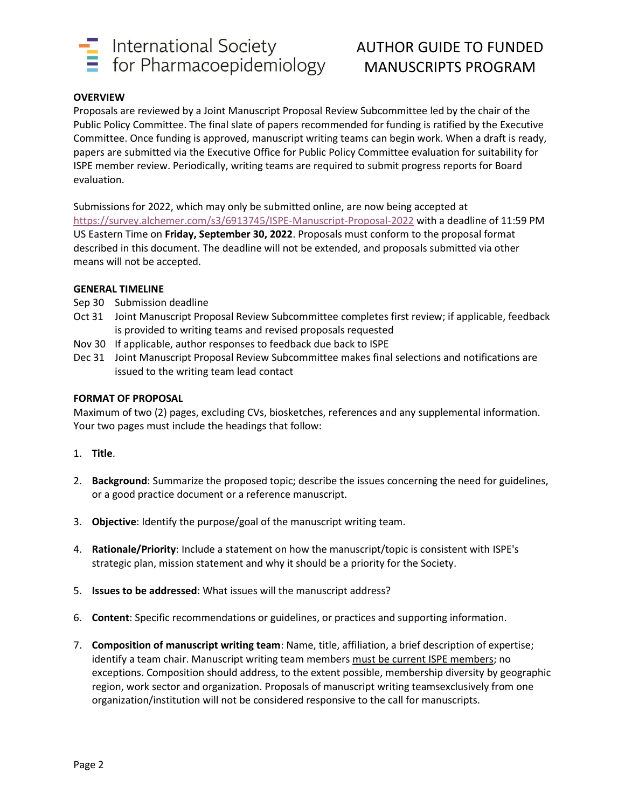

# AUTHOR GUIDE TO FUNDED MANUSCRIPTS PROGRAM

## <span id="page-1-0"></span>**OVERVIEW**

Proposals are reviewed by a Joint Manuscript Proposal Review Subcommittee led by the chair of the Public Policy Committee. The final slate of papers recommended for funding is ratified by the Executive Committee. Once funding is approved, manuscript writing teams can begin work. When a draft is ready, papers are submitted via the Executive Office for Public Policy Committee evaluation for suitability for ISPE member review. Periodically, writing teams are required to submit progress reports for Board evaluation.

Submissions for 2022, which may only be submitted online, are now being accepted at <https://survey.alchemer.com/s3/6913745/ISPE-Manuscript-Proposal-2022> with a deadline of 11:59 PM US Eastern Time on **Friday, September 30, 2022**. Proposals must conform to the proposal format described in this document. The deadline will not be extended, and proposals submitted via other means will not be accepted.

#### <span id="page-1-1"></span>**GENERAL TIMELINE**

- Sep 30 Submission deadline
- Oct 31 Joint Manuscript Proposal Review Subcommittee completes first review; if applicable, feedback is provided to writing teams and revised proposals requested
- Nov 30 If applicable, author responses to feedback due back to ISPE
- Dec 31 Joint Manuscript Proposal Review Subcommittee makes final selections and notifications are issued to the writing team lead contact

#### <span id="page-1-2"></span>**FORMAT OF PROPOSAL**

Maximum of two (2) pages, excluding CVs, biosketches, references and any supplemental information. Your two pages must include the headings that follow:

- 1. **Title**.
- 2. **Background**: Summarize the proposed topic; describe the issues concerning the need for guidelines, or a good practice document or a reference manuscript.
- 3. **Objective**: Identify the purpose/goal of the manuscript writing team.
- 4. **Rationale/Priority**: Include a statement on how the manuscript/topic is consistent with ISPE's strategic plan, mission statement and why it should be a priority for the Society.
- 5. **Issues to be addressed**: What issues will the manuscript address?
- 6. **Content**: Specific recommendations or guidelines, or practices and supporting information.
- 7. **Composition of manuscript writing team**: Name, title, affiliation, a brief description of expertise; identify a team chair. Manuscript writing team members must be current ISPE members; no exceptions. Composition should address, to the extent possible, membership diversity by geographic region, work sector and organization. Proposals of manuscript writing teamsexclusively from one organization/institution will not be considered responsive to the call for manuscripts.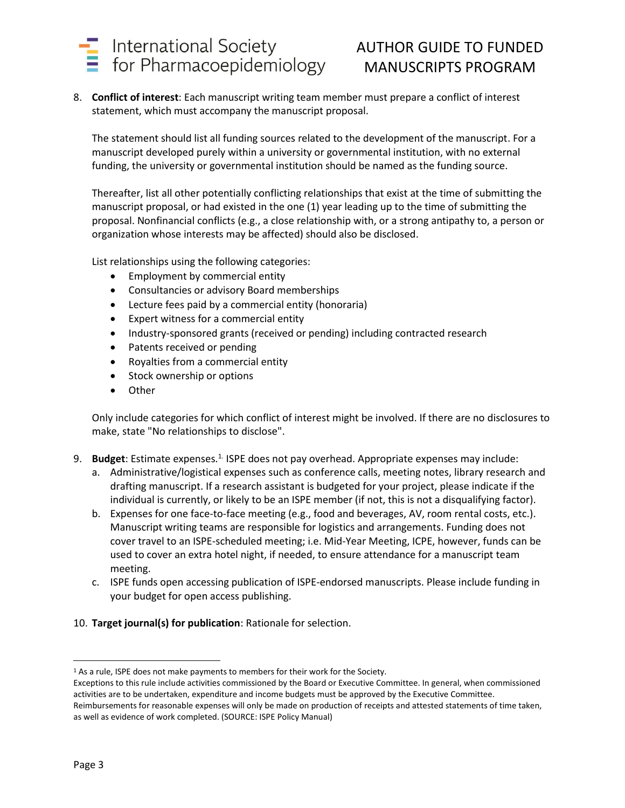

8. **Conflict of interest**: Each manuscript writing team member must prepare a conflict of interest statement, which must accompany the manuscript proposal.

The statement should list all funding sources related to the development of the manuscript. For a manuscript developed purely within a university or governmental institution, with no external funding, the university or governmental institution should be named as the funding source.

Thereafter, list all other potentially conflicting relationships that exist at the time of submitting the manuscript proposal, or had existed in the one (1) year leading up to the time of submitting the proposal. Nonfinancial conflicts (e.g., a close relationship with, or a strong antipathy to, a person or organization whose interests may be affected) should also be disclosed.

List relationships using the following categories:

- Employment by commercial entity
- Consultancies or advisory Board memberships
- Lecture fees paid by a commercial entity (honoraria)
- Expert witness for a commercial entity
- Industry-sponsored grants (received or pending) including contracted research
- Patents received or pending
- Royalties from a commercial entity
- Stock ownership or options
- Other

Only include categories for which conflict of interest might be involved. If there are no disclosures to make, state "No relationships to disclose".

- 9. **Budget**: Estimate expenses.<sup>1.</sup> ISPE does not pay overhead. Appropriate expenses may include:
	- a. Administrative/logistical expenses such as conference calls, meeting notes, library research and drafting manuscript. If a research assistant is budgeted for your project, please indicate if the individual is currently, or likely to be an ISPE member (if not, this is not a disqualifying factor).
	- b. Expenses for one face-to-face meeting (e.g., food and beverages, AV, room rental costs, etc.). Manuscript writing teams are responsible for logistics and arrangements. Funding does not cover travel to an ISPE-scheduled meeting; i.e. Mid-Year Meeting, ICPE, however, funds can be used to cover an extra hotel night, if needed, to ensure attendance for a manuscript team meeting.
	- c. ISPE funds open accessing publication of ISPE-endorsed manuscripts. Please include funding in your budget for open access publishing.
- 10. **Target journal(s) for publication**: Rationale for selection.

<sup>&</sup>lt;sup>1</sup> As a rule, ISPE does not make payments to members for their work for the Society.

Exceptions to this rule include activities commissioned by the Board or Executive Committee. In general, when commissioned activities are to be undertaken, expenditure and income budgets must be approved by the Executive Committee. Reimbursements for reasonable expenses will only be made on production of receipts and attested statements of time taken,

as well as evidence of work completed. (SOURCE: ISPE Policy Manual)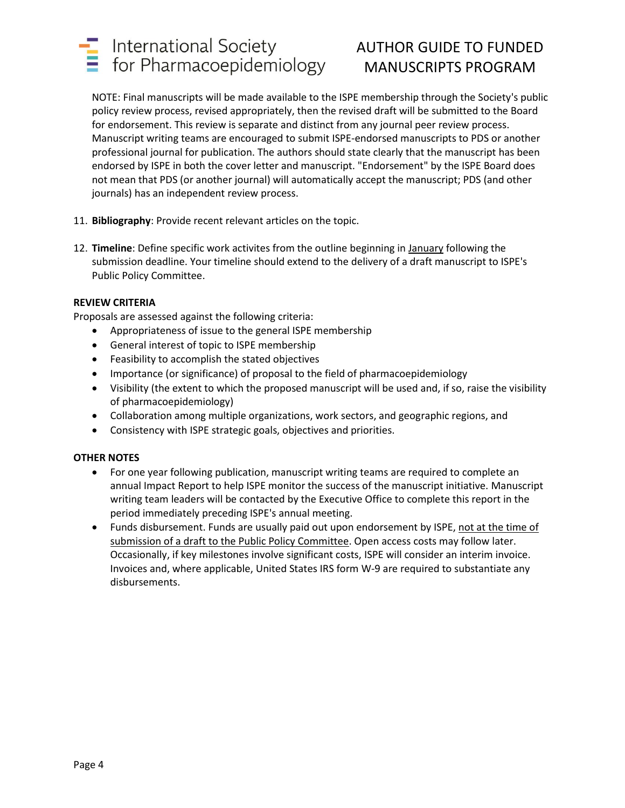# $\frac{1}{2}$  International Society<br> $\frac{1}{2}$  for Pharmacoepidemiology

# AUTHOR GUIDE TO FUNDED MANUSCRIPTS PROGRAM

NOTE: Final manuscripts will be made available to the ISPE membership through the Society's public policy review process, revised appropriately, then the revised draft will be submitted to the Board for endorsement. This review is separate and distinct from any journal peer review process. Manuscript writing teams are encouraged to submit ISPE-endorsed manuscripts to PDS or another professional journal for publication. The authors should state clearly that the manuscript has been endorsed by ISPE in both the cover letter and manuscript. "Endorsement" by the ISPE Board does not mean that PDS (or another journal) will automatically accept the manuscript; PDS (and other journals) has an independent review process.

- 11. **Bibliography**: Provide recent relevant articles on the topic.
- 12. **Timeline**: Define specific work activites from the outline beginning in January following the submission deadline. Your timeline should extend to the delivery of a draft manuscript to ISPE's Public Policy Committee.

# <span id="page-3-0"></span>**REVIEW CRITERIA**

Proposals are assessed against the following criteria:

- Appropriateness of issue to the general ISPE membership
- General interest of topic to ISPE membership
- Feasibility to accomplish the stated objectives
- Importance (or significance) of proposal to the field of pharmacoepidemiology
- Visibility (the extent to which the proposed manuscript will be used and, if so, raise the visibility of pharmacoepidemiology)
- Collaboration among multiple organizations, work sectors, and geographic regions, and
- Consistency with ISPE strategic goals, objectives and priorities.

## <span id="page-3-1"></span>**OTHER NOTES**

- For one year following publication, manuscript writing teams are required to complete an annual Impact Report to help ISPE monitor the success of the manuscript initiative. Manuscript writing team leaders will be contacted by the Executive Office to complete this report in the period immediately preceding ISPE's annual meeting.
- Funds disbursement. Funds are usually paid out upon endorsement by ISPE, not at the time of submission of a draft to the Public Policy Committee. Open access costs may follow later. Occasionally, if key milestones involve significant costs, ISPE will consider an interim invoice. Invoices and, where applicable, United States IRS form W-9 are required to substantiate any disbursements.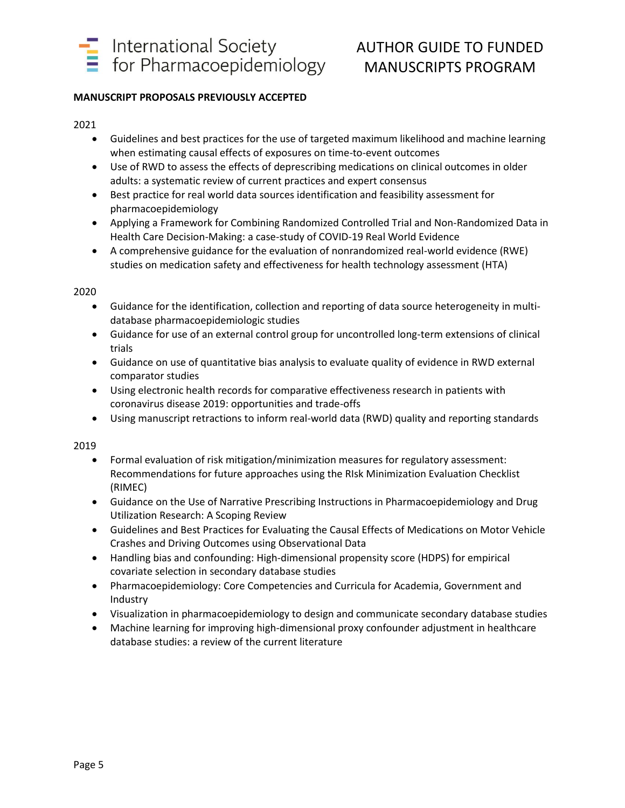

# <span id="page-4-0"></span>**MANUSCRIPT PROPOSALS PREVIOUSLY ACCEPTED**

## 2021

- Guidelines and best practices for the use of targeted maximum likelihood and machine learning when estimating causal effects of exposures on time-to-event outcomes
- Use of RWD to assess the effects of deprescribing medications on clinical outcomes in older adults: a systematic review of current practices and expert consensus
- Best practice for real world data sources identification and feasibility assessment for pharmacoepidemiology
- Applying a Framework for Combining Randomized Controlled Trial and Non-Randomized Data in Health Care Decision-Making: a case-study of COVID-19 Real World Evidence
- A comprehensive guidance for the evaluation of nonrandomized real-world evidence (RWE) studies on medication safety and effectiveness for health technology assessment (HTA)

# 2020

- Guidance for the identification, collection and reporting of data source heterogeneity in multidatabase pharmacoepidemiologic studies
- Guidance for use of an external control group for uncontrolled long-term extensions of clinical trials
- Guidance on use of quantitative bias analysis to evaluate quality of evidence in RWD external comparator studies
- Using electronic health records for comparative effectiveness research in patients with coronavirus disease 2019: opportunities and trade-offs
- Using manuscript retractions to inform real-world data (RWD) quality and reporting standards

## 2019

- Formal evaluation of risk mitigation/minimization measures for regulatory assessment: Recommendations for future approaches using the RIsk Minimization Evaluation Checklist (RIMEC)
- Guidance on the Use of Narrative Prescribing Instructions in Pharmacoepidemiology and Drug Utilization Research: A Scoping Review
- Guidelines and Best Practices for Evaluating the Causal Effects of Medications on Motor Vehicle Crashes and Driving Outcomes using Observational Data
- Handling bias and confounding: High-dimensional propensity score (HDPS) for empirical covariate selection in secondary database studies
- Pharmacoepidemiology: Core Competencies and Curricula for Academia, Government and Industry
- Visualization in pharmacoepidemiology to design and communicate secondary database studies
- Machine learning for improving high-dimensional proxy confounder adjustment in healthcare database studies: a review of the current literature